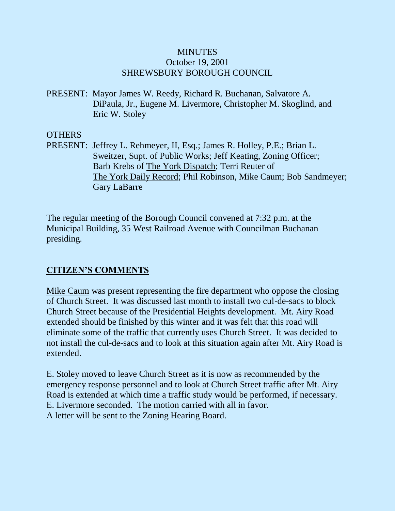### **MINUTES** October 19, 2001 SHREWSBURY BOROUGH COUNCIL

PRESENT: Mayor James W. Reedy, Richard R. Buchanan, Salvatore A. DiPaula, Jr., Eugene M. Livermore, Christopher M. Skoglind, and Eric W. Stoley

### **OTHERS**

PRESENT: Jeffrey L. Rehmeyer, II, Esq.; James R. Holley, P.E.; Brian L. Sweitzer, Supt. of Public Works; Jeff Keating, Zoning Officer; Barb Krebs of The York Dispatch; Terri Reuter of The York Daily Record; Phil Robinson, Mike Caum; Bob Sandmeyer; Gary LaBarre

The regular meeting of the Borough Council convened at 7:32 p.m. at the Municipal Building, 35 West Railroad Avenue with Councilman Buchanan presiding.

## **CITIZEN'S COMMENTS**

Mike Caum was present representing the fire department who oppose the closing of Church Street. It was discussed last month to install two cul-de-sacs to block Church Street because of the Presidential Heights development. Mt. Airy Road extended should be finished by this winter and it was felt that this road will eliminate some of the traffic that currently uses Church Street. It was decided to not install the cul-de-sacs and to look at this situation again after Mt. Airy Road is extended.

E. Stoley moved to leave Church Street as it is now as recommended by the emergency response personnel and to look at Church Street traffic after Mt. Airy Road is extended at which time a traffic study would be performed, if necessary. E. Livermore seconded. The motion carried with all in favor. A letter will be sent to the Zoning Hearing Board.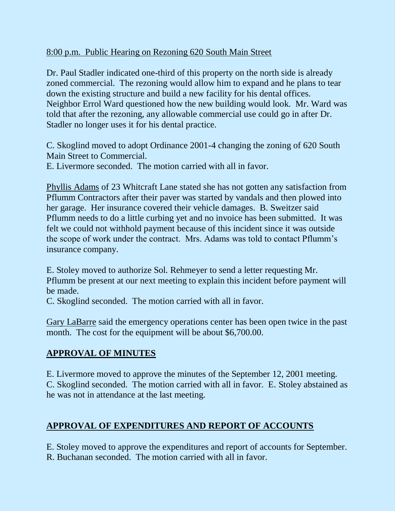## 8:00 p.m. Public Hearing on Rezoning 620 South Main Street

Dr. Paul Stadler indicated one-third of this property on the north side is already zoned commercial. The rezoning would allow him to expand and he plans to tear down the existing structure and build a new facility for his dental offices. Neighbor Errol Ward questioned how the new building would look. Mr. Ward was told that after the rezoning, any allowable commercial use could go in after Dr. Stadler no longer uses it for his dental practice.

C. Skoglind moved to adopt Ordinance 2001-4 changing the zoning of 620 South Main Street to Commercial.

E. Livermore seconded. The motion carried with all in favor.

Phyllis Adams of 23 Whitcraft Lane stated she has not gotten any satisfaction from Pflumm Contractors after their paver was started by vandals and then plowed into her garage. Her insurance covered their vehicle damages. B. Sweitzer said Pflumm needs to do a little curbing yet and no invoice has been submitted. It was felt we could not withhold payment because of this incident since it was outside the scope of work under the contract. Mrs. Adams was told to contact Pflumm's insurance company.

E. Stoley moved to authorize Sol. Rehmeyer to send a letter requesting Mr. Pflumm be present at our next meeting to explain this incident before payment will be made.

C. Skoglind seconded. The motion carried with all in favor.

Gary LaBarre said the emergency operations center has been open twice in the past month. The cost for the equipment will be about \$6,700.00.

# **APPROVAL OF MINUTES**

E. Livermore moved to approve the minutes of the September 12, 2001 meeting. C. Skoglind seconded. The motion carried with all in favor. E. Stoley abstained as he was not in attendance at the last meeting.

# **APPROVAL OF EXPENDITURES AND REPORT OF ACCOUNTS**

E. Stoley moved to approve the expenditures and report of accounts for September. R. Buchanan seconded. The motion carried with all in favor.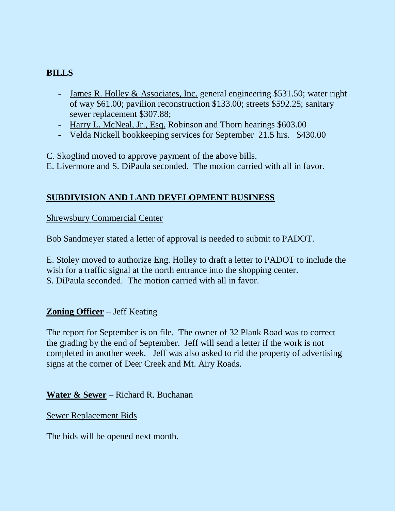# **BILLS**

- James R. Holley & Associates, Inc. general engineering \$531.50; water right of way \$61.00; pavilion reconstruction \$133.00; streets \$592.25; sanitary sewer replacement \$307.88;
- Harry L. McNeal, Jr., Esq. Robinson and Thorn hearings \$603.00
- Velda Nickell bookkeeping services for September 21.5 hrs. \$430.00

C. Skoglind moved to approve payment of the above bills.

E. Livermore and S. DiPaula seconded. The motion carried with all in favor.

## **SUBDIVISION AND LAND DEVELOPMENT BUSINESS**

Shrewsbury Commercial Center

Bob Sandmeyer stated a letter of approval is needed to submit to PADOT.

E. Stoley moved to authorize Eng. Holley to draft a letter to PADOT to include the wish for a traffic signal at the north entrance into the shopping center. S. DiPaula seconded. The motion carried with all in favor.

## **Zoning Officer** – Jeff Keating

The report for September is on file. The owner of 32 Plank Road was to correct the grading by the end of September. Jeff will send a letter if the work is not completed in another week. Jeff was also asked to rid the property of advertising signs at the corner of Deer Creek and Mt. Airy Roads.

**Water & Sewer** – Richard R. Buchanan

Sewer Replacement Bids

The bids will be opened next month.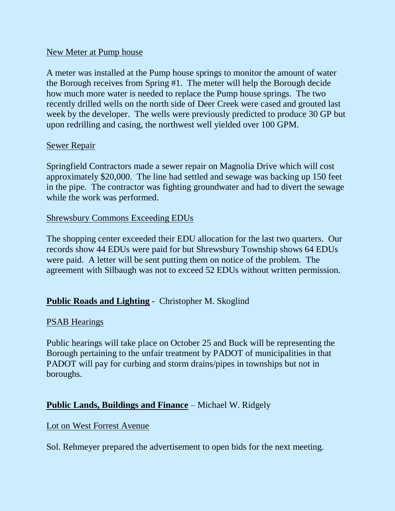#### New Meter at Pump house

A meter was installed at the Pump house springs to monitor the amount of water the Borough receives from Spring #1. The meter will help the Borough decide how much more water is needed to replace the Pump house springs. The two recently drilled wells on the north side of Deer Creek were cased and grouted last week by the developer. The wells were previously predicted to produce 30 GP but upon redrilling and casing, the northwest well yielded over 100 GPM.

#### Sewer Repair

Springfield Contractors made a sewer repair on Magnolia Drive which will cost approximately \$20,000. The line had settled and sewage was backing up 150 feet in the pipe. The contractor was fighting groundwater and had to divert the sewage while the work was performed.

#### Shrewsbury Commons Exceeding EDUs

The shopping center exceeded their EDU allocation for the last two quarters. Our records show 44 EDUs were paid for but Shrewsbury Township shows 64 EDUs were paid. A letter will be sent putting them on notice of the problem. The agreement with Silbaugh was not to exceed 52 EDUs without written permission.

### **Public Roads and Lighting** - Christopher M. Skoglind

#### PSAB Hearings

Public hearings will take place on October 25 and Buck will be representing the Borough pertaining to the unfair treatment by PADOT of municipalities in that PADOT will pay for curbing and storm drains/pipes in townships but not in boroughs.

### **Public Lands, Buildings and Finance** – Michael W. Ridgely

#### Lot on West Forrest Avenue

Sol. Rehmeyer prepared the advertisement to open bids for the next meeting.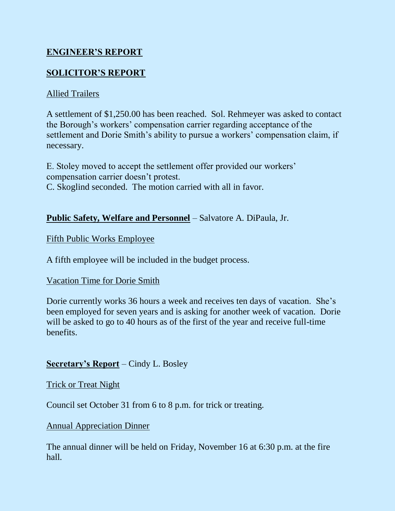# **ENGINEER'S REPORT**

# **SOLICITOR'S REPORT**

### Allied Trailers

A settlement of \$1,250.00 has been reached. Sol. Rehmeyer was asked to contact the Borough's workers' compensation carrier regarding acceptance of the settlement and Dorie Smith's ability to pursue a workers' compensation claim, if necessary.

E. Stoley moved to accept the settlement offer provided our workers' compensation carrier doesn't protest. C. Skoglind seconded. The motion carried with all in favor.

### **Public Safety, Welfare and Personnel** – Salvatore A. DiPaula, Jr.

### Fifth Public Works Employee

A fifth employee will be included in the budget process.

### Vacation Time for Dorie Smith

Dorie currently works 36 hours a week and receives ten days of vacation. She's been employed for seven years and is asking for another week of vacation. Dorie will be asked to go to 40 hours as of the first of the year and receive full-time **benefits** 

### **Secretary's Report** – Cindy L. Bosley

#### Trick or Treat Night

Council set October 31 from 6 to 8 p.m. for trick or treating.

### Annual Appreciation Dinner

The annual dinner will be held on Friday, November 16 at 6:30 p.m. at the fire hall.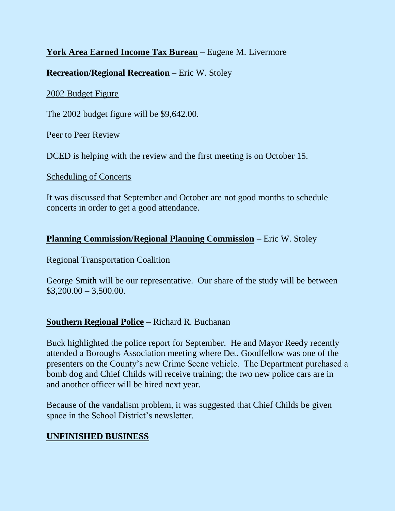## **York Area Earned Income Tax Bureau** – Eugene M. Livermore

### **Recreation/Regional Recreation** – Eric W. Stoley

#### 2002 Budget Figure

The 2002 budget figure will be \$9,642.00.

Peer to Peer Review

DCED is helping with the review and the first meeting is on October 15.

#### Scheduling of Concerts

It was discussed that September and October are not good months to schedule concerts in order to get a good attendance.

### **Planning Commission/Regional Planning Commission** – Eric W. Stoley

#### Regional Transportation Coalition

George Smith will be our representative. Our share of the study will be between  $$3,200.00 - 3,500.00.$ 

## **Southern Regional Police** – Richard R. Buchanan

Buck highlighted the police report for September. He and Mayor Reedy recently attended a Boroughs Association meeting where Det. Goodfellow was one of the presenters on the County's new Crime Scene vehicle. The Department purchased a bomb dog and Chief Childs will receive training; the two new police cars are in and another officer will be hired next year.

Because of the vandalism problem, it was suggested that Chief Childs be given space in the School District's newsletter.

## **UNFINISHED BUSINESS**